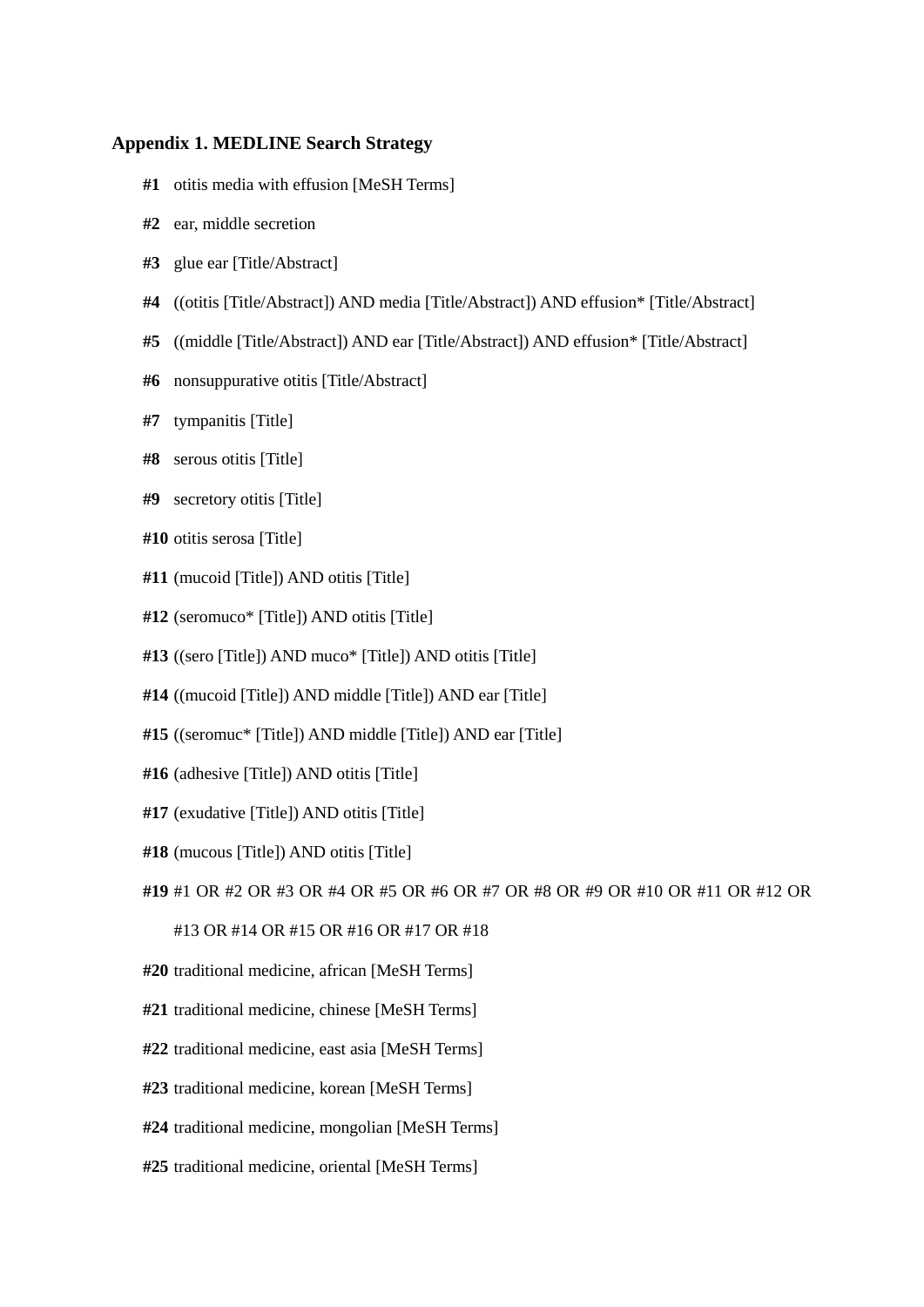## **Appendix 1. MEDLINE Search Strategy**

- **#1** otitis media with effusion [MeSH Terms]
- **#2** ear, middle secretion
- **#3** glue ear [Title/Abstract]
- **#4** ((otitis [Title/Abstract]) AND media [Title/Abstract]) AND effusion\* [Title/Abstract]
- **#5** ((middle [Title/Abstract]) AND ear [Title/Abstract]) AND effusion\* [Title/Abstract]
- **#6** nonsuppurative otitis [Title/Abstract]
- **#7** tympanitis [Title]
- **#8** serous otitis [Title]
- **#9** secretory otitis [Title]
- **#10** otitis serosa [Title]
- **#11** (mucoid [Title]) AND otitis [Title]
- **#12** (seromuco\* [Title]) AND otitis [Title]
- **#13** ((sero [Title]) AND muco\* [Title]) AND otitis [Title]
- **#14** ((mucoid [Title]) AND middle [Title]) AND ear [Title]
- **#15** ((seromuc\* [Title]) AND middle [Title]) AND ear [Title]
- **#16** (adhesive [Title]) AND otitis [Title]
- **#17** (exudative [Title]) AND otitis [Title]
- **#18** (mucous [Title]) AND otitis [Title]
- **#19** #1 OR #2 OR #3 OR #4 OR #5 OR #6 OR #7 OR #8 OR #9 OR #10 OR #11 OR #12 OR

#13 OR #14 OR #15 OR #16 OR #17 OR #18

- **#20** traditional medicine, african [MeSH Terms]
- **#21** traditional medicine, chinese [MeSH Terms]
- **#22** traditional medicine, east asia [MeSH Terms]
- **#23** traditional medicine, korean [MeSH Terms]
- **#24** traditional medicine, mongolian [MeSH Terms]
- **#25** traditional medicine, oriental [MeSH Terms]